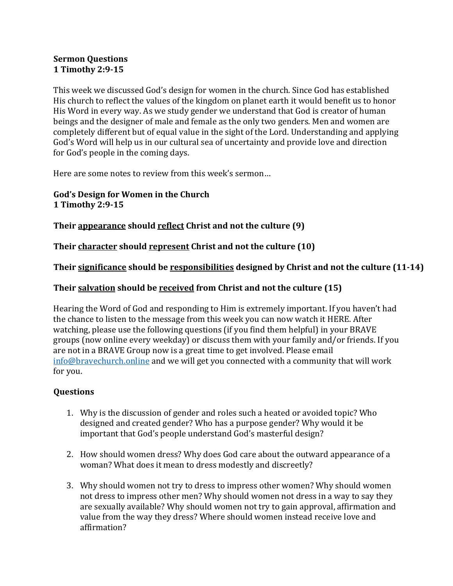## **Sermon Questions 1 Timothy 2:9-15**

This week we discussed God's design for women in the church. Since God has established His church to reflect the values of the kingdom on planet earth it would benefit us to honor His Word in every way. As we study gender we understand that God is creator of human beings and the designer of male and female as the only two genders. Men and women are completely different but of equal value in the sight of the Lord. Understanding and applying God's Word will help us in our cultural sea of uncertainty and provide love and direction for God's people in the coming days.

Here are some notes to review from this week's sermon...

God's Design for Women in the Church **1 Timothy 2:9-15**

**Their appearance should reflect Christ and not the culture (9)** 

**Their character should represent Christ and not the culture (10)** 

## **Their significance should be responsibilities designed by Christ and not the culture (11-14)**

## **Their salvation should be received from Christ and not the culture (15)**

Hearing the Word of God and responding to Him is extremely important. If you haven't had the chance to listen to the message from this week you can now watch it HERE. After watching, please use the following questions (if you find them helpful) in your BRAVE groups (now online every weekday) or discuss them with your family and/or friends. If you are not in a BRAVE Group now is a great time to get involved. Please email  $info@bravechurch online$  and we will get you connected with a community that will work for you.

## **Questions**

- 1. Why is the discussion of gender and roles such a heated or avoided topic? Who designed and created gender? Who has a purpose gender? Why would it be important that God's people understand God's masterful design?
- 2. How should women dress? Why does God care about the outward appearance of a woman? What does it mean to dress modestly and discreetly?
- 3. Why should women not try to dress to impress other women? Why should women not dress to impress other men? Why should women not dress in a way to say they are sexually available? Why should women not try to gain approval, affirmation and value from the way they dress? Where should women instead receive love and affirmation?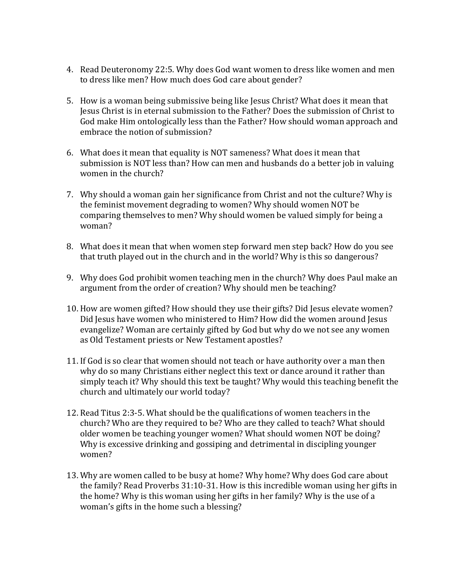- 4. Read Deuteronomy 22:5. Why does God want women to dress like women and men to dress like men? How much does God care about gender?
- 5. How is a woman being submissive being like Jesus Christ? What does it mean that Jesus Christ is in eternal submission to the Father? Does the submission of Christ to God make Him ontologically less than the Father? How should woman approach and embrace the notion of submission?
- 6. What does it mean that equality is NOT sameness? What does it mean that submission is NOT less than? How can men and husbands do a better job in valuing women in the church?
- 7. Why should a woman gain her significance from Christ and not the culture? Why is the feminist movement degrading to women? Why should women NOT be comparing themselves to men? Why should women be valued simply for being a woman?
- 8. What does it mean that when women step forward men step back? How do you see that truth played out in the church and in the world? Why is this so dangerous?
- 9. Why does God prohibit women teaching men in the church? Why does Paul make an argument from the order of creation? Why should men be teaching?
- 10. How are women gifted? How should they use their gifts? Did Jesus elevate women? Did Jesus have women who ministered to Him? How did the women around Jesus evangelize? Woman are certainly gifted by God but why do we not see any women as Old Testament priests or New Testament apostles?
- 11. If God is so clear that women should not teach or have authority over a man then why do so many Christians either neglect this text or dance around it rather than simply teach it? Why should this text be taught? Why would this teaching benefit the church and ultimately our world today?
- 12. Read Titus 2:3-5. What should be the qualifications of women teachers in the church? Who are they required to be? Who are they called to teach? What should older women be teaching younger women? What should women NOT be doing? Why is excessive drinking and gossiping and detrimental in discipling younger women?
- 13. Why are women called to be busy at home? Why home? Why does God care about the family? Read Proverbs  $31:10-31$ . How is this incredible woman using her gifts in the home? Why is this woman using her gifts in her family? Why is the use of a woman's gifts in the home such a blessing?